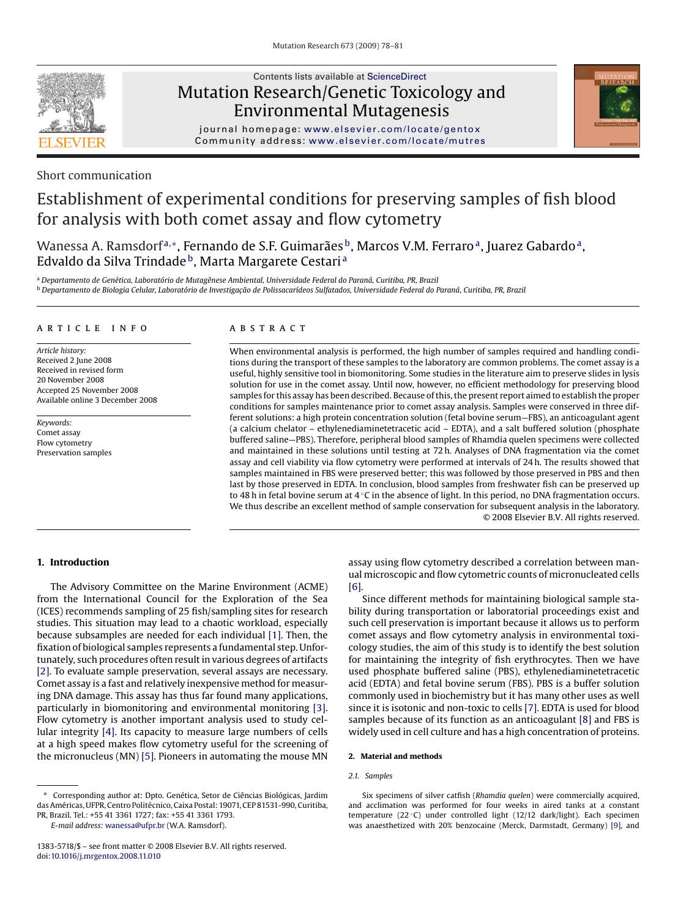

# Contents lists available at [ScienceDirect](http://www.sciencedirect.com/science/journal/13835718) Mutation Research/Genetic Toxicology and Environmental Mutagenesis



journal homepage: [www.elsevier.com/locate/gentox](http://www.elsevier.com/locate/gentox) Community address: [www.elsevier.com/locate/mutres](http://www.elsevier.com/locate/mutres)

# Short communication

# Establishment of experimental conditions for preserving samples of fish blood for analysis with both comet assay and flow cytometry

Wanessa A. Ramsdorf<sup>a,∗</sup>, Fernando de S.F. Guimarães<sup>b</sup>, Marcos V.M. Ferraro<sup>a</sup>, Juarez Gabardo<sup>a</sup>, Edvaldo da Silva Trindade<sup>b</sup>, Marta Margarete Cestari<sup>a</sup>

<sup>a</sup> *Departamento de Genética, Laboratório de Mutagênese Ambiental, Universidade Federal do Paraná, Curitiba, PR, Brazil* <sup>b</sup> Departamento de Biologia Celular, Laboratório de Investigação de Polissacarídeos Sulfatados, Universidade Federal do Paraná, Curitiba, PR, Brazil

## article info

*Article history:* Received 2 June 2008 Received in revised form 20 November 2008 Accepted 25 November 2008 Available online 3 December 2008

*Keywords:* Comet assay Flow cytometry Preservation samples

# ABSTRACT

When environmental analysis is performed, the high number of samples required and handling conditions during the transport of these samples to the laboratory are common problems. The comet assay is a useful, highly sensitive tool in biomonitoring. Some studies in the literature aim to preserve slides in lysis solution for use in the comet assay. Until now, however, no efficient methodology for preserving blood samples for this assay has been described. Because of this, the present report aimed to establish the proper conditions for samples maintenance prior to comet assay analysis. Samples were conserved in three different solutions: a high protein concentration solution (fetal bovine serum—FBS), an anticoagulant agent (a calcium chelator – ethylenediaminetetracetic acid – EDTA), and a salt buffered solution (phosphate buffered saline—PBS). Therefore, peripheral blood samples of Rhamdia quelen specimens were collected and maintained in these solutions until testing at 72 h. Analyses of DNA fragmentation via the comet assay and cell viability via flow cytometry were performed at intervals of 24 h. The results showed that samples maintained in FBS were preserved better; this was followed by those preserved in PBS and then last by those preserved in EDTA. In conclusion, blood samples from freshwater fish can be preserved up to 48 h in fetal bovine serum at 4 °C in the absence of light. In this period, no DNA fragmentation occurs. We thus describe an excellent method of sample conservation for subsequent analysis in the laboratory. © 2008 Elsevier B.V. All rights reserved.

# **1. Introduction**

The Advisory Committee on the Marine Environment (ACME) from the International Council for the Exploration of the Sea (ICES) recommends sampling of 25 fish/sampling sites for research studies. This situation may lead to a chaotic workload, especially because subsamples are needed for each individual [\[1\]. T](#page-3-0)hen, the fixation of biological samples represents a fundamental step. Unfortunately, such procedures often result in various degrees of artifacts [\[2\]. T](#page-3-0)o evaluate sample preservation, several assays are necessary. Comet assay is a fast and relatively inexpensive method for measuring DNA damage. This assay has thus far found many applications, particularly in biomonitoring and environmental monitoring [\[3\].](#page-3-0) Flow cytometry is another important analysis used to study cellular integrity [\[4\].](#page-3-0) Its capacity to measure large numbers of cells at a high speed makes flow cytometry useful for the screening of the micronucleus (MN) [\[5\]. P](#page-3-0)ioneers in automating the mouse MN assay using flow cytometry described a correlation between manual microscopic and flow cytometric counts of micronucleated cells [\[6\].](#page-3-0)

Since different methods for maintaining biological sample stability during transportation or laboratorial proceedings exist and such cell preservation is important because it allows us to perform comet assays and flow cytometry analysis in environmental toxicology studies, the aim of this study is to identify the best solution for maintaining the integrity of fish erythrocytes. Then we have used phosphate buffered saline (PBS), ethylenediaminetetracetic acid (EDTA) and fetal bovine serum (FBS). PBS is a buffer solution commonly used in biochemistry but it has many other uses as well since it is isotonic and non-toxic to cells [\[7\]. E](#page-3-0)DTA is used for blood samples because of its function as an anticoagulant [\[8\]](#page-3-0) and FBS is widely used in cell culture and has a high concentration of proteins.

# **2. Material and methods**

### *2.1. Samples*

*E-mail address:* [wanessa@ufpr.br](mailto:wanessa@ufpr.br) (W.A. Ramsdorf).

Six specimens of silver catfish (*Rhamdia quelen*) were commercially acquired, and acclimation was performed for four weeks in aired tanks at a constant temperature (22 ◦C) under controlled light (12/12 dark/light). Each specimen was anaesthetized with 20% benzocaine (Merck, Darmstadt, Germany) [\[9\], a](#page-3-0)nd

<sup>∗</sup> Corresponding author at: Dpto. Genética, Setor de Ciências Biológicas, Jardim das Américas, UFPR, Centro Politécnico, Caixa Postal: 19071, CEP 81531-990, Curitiba, PR, Brazil. Tel.: +55 41 3361 1727; fax: +55 41 3361 1793.

<sup>1383-5718/\$ –</sup> see front matter © 2008 Elsevier B.V. All rights reserved. doi:[10.1016/j.mrgentox.2008.11.010](dx.doi.org/10.1016/j.mrgentox.2008.11.010)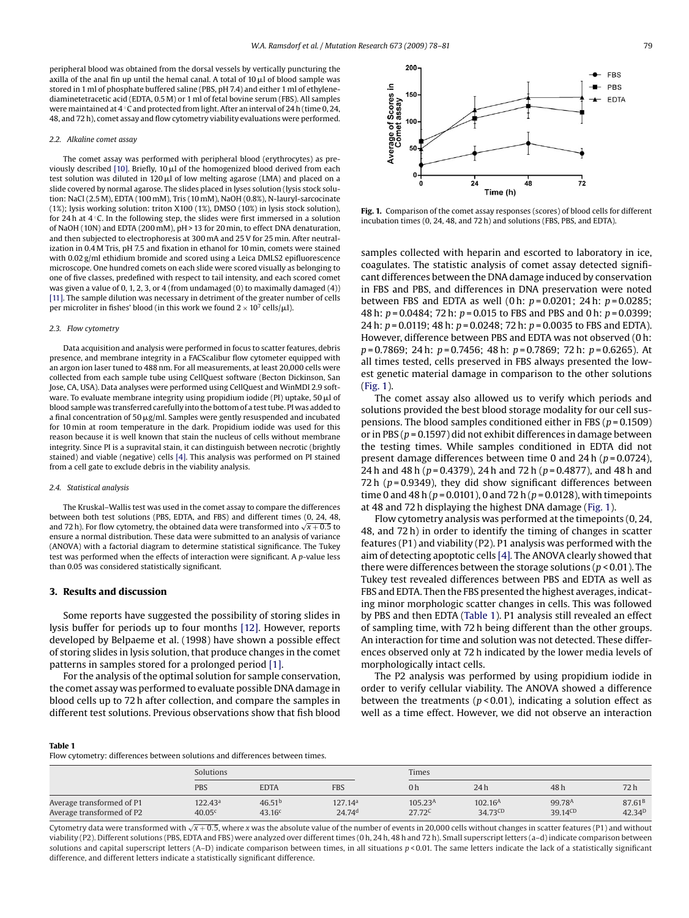<span id="page-1-0"></span>peripheral blood was obtained from the dorsal vessels by vertically puncturing the axilla of the anal fin up until the hemal canal. A total of 10  $\mu$ l of blood sample was stored in 1 ml of phosphate buffered saline (PBS, pH 7.4) and either 1 ml of ethylenediaminetetracetic acid (EDTA, 0.5 M) or 1 ml of fetal bovine serum (FBS). All samples were maintained at 4 ℃ and protected from light. After an interval of 24 h (time 0, 24, 48, and 72 h), comet assay and flow cytometry viability evaluations were performed.

#### *2.2. Alkaline comet assay*

The comet assay was performed with peripheral blood (erythrocytes) as pre-viously described [\[10\]. B](#page-3-0)riefly, 10  $\mu$ l of the homogenized blood derived from each test solution was diluted in 120  $\mu$ l of low melting agarose (LMA) and placed on a slide covered by normal agarose. The slides placed in lyses solution (lysis stock solution: NaCl (2.5 M), EDTA (100 mM), Tris (10 mM), NaOH (0.8%), N-lauryl-sarcocinate (1%); lysis working solution: triton X100 (1%), DMSO (10%) in lysis stock solution), for 24 h at  $4^\circ$ C. In the following step, the slides were first immersed in a solution of NaOH (10N) and EDTA (200 mM), pH > 13 for 20 min, to effect DNA denaturation, and then subjected to electrophoresis at 300 mA and 25 V for 25 min. After neutralization in 0.4 M Tris, pH 7.5 and fixation in ethanol for 10 min, comets were stained with 0.02 g/ml ethidium bromide and scored using a Leica DMLS2 epifluorescence microscope. One hundred comets on each slide were scored visually as belonging to one of five classes, predefined with respect to tail intensity, and each scored comet was given a value of 0, 1, 2, 3, or 4 (from undamaged (0) to maximally damaged (4)) [\[11\]. T](#page-3-0)he sample dilution was necessary in detriment of the greater number of cells per microliter in fishes' blood (in this work we found  $2 \times 10^7$  cells/ $\mu$ l).

#### *2.3. Flow cytometry*

Data acquisition and analysis were performed in focus to scatter features, debris presence, and membrane integrity in a FACScalibur flow cytometer equipped with an argon ion laser tuned to 488 nm. For all measurements, at least 20,000 cells were collected from each sample tube using CellQuest software (Becton Dickinson, San Jose, CA, USA). Data analyses were performed using CellQuest and WinMDI 2.9 software. To evaluate membrane integrity using propidium iodide (PI) uptake, 50  $\mu$ l of blood sample was transferred carefully into the bottom of a test tube. PI was added to a final concentration of 50  $\mu$ g/ml. Samples were gently resuspended and incubated for 10 min at room temperature in the dark. Propidium iodide was used for this reason because it is well known that stain the nucleus of cells without membrane integrity. Since PI is a supravital stain, it can distinguish between necrotic (brightly stained) and viable (negative) cells [\[4\]. T](#page-3-0)his analysis was performed on PI stained from a cell gate to exclude debris in the viability analysis.

#### *2.4. Statistical analysis*

The Kruskal–Wallis test was used in the comet assay to compare the differences between both test solutions (PBS, EDTA, and FBS) and different times (0, 24, 48, and 72 h). For flow cytometry, the obtained data were transformed into  $\sqrt{x+0.5}$  to ensure a normal distribution. These data were submitted to an analysis of variance (ANOVA) with a factorial diagram to determine statistical significance. The Tukey test was performed when the effects of interaction were significant. A *p*-value less than 0.05 was considered statistically significant.

## **3. Results and discussion**

Some reports have suggested the possibility of storing slides in lysis buffer for periods up to four months [\[12\].](#page-3-0) However, reports developed by Belpaeme et al. (1998) have shown a possible effect of storing slides in lysis solution, that produce changes in the comet patterns in samples stored for a prolonged period [\[1\].](#page-3-0)

For the analysis of the optimal solution for sample conservation, the comet assay was performed to evaluate possible DNA damage in blood cells up to 72 h after collection, and compare the samples in different test solutions. Previous observations show that fish blood



**Fig. 1.** Comparison of the comet assay responses (scores) of blood cells for different incubation times (0, 24, 48, and 72 h) and solutions (FBS, PBS, and EDTA).

samples collected with heparin and escorted to laboratory in ice, coagulates. The statistic analysis of comet assay detected significant differences between the DNA damage induced by conservation in FBS and PBS, and differences in DNA preservation were noted between FBS and EDTA as well (0 h: *p* = 0.0201; 24 h: *p* = 0.0285; 48 h: *p* = 0.0484; 72 h: *p* = 0.015 to FBS and PBS and 0 h: *p* = 0.0399; 24 h: *p* = 0.0119; 48 h: *p* = 0.0248; 72 h: *p* = 0.0035 to FBS and EDTA). However, difference between PBS and EDTA was not observed (0 h: *p* = 0.7869; 24 h: *p* = 0.7456; 48 h: *p* = 0.7869; 72 h: *p* = 0.6265). At all times tested, cells preserved in FBS always presented the lowest genetic material damage in comparison to the other solutions (Fig. 1).

The comet assay also allowed us to verify which periods and solutions provided the best blood storage modality for our cell suspensions. The blood samples conditioned either in FBS (*p* = 0.1509) or in PBS (*p* = 0.1597) did not exhibit differences in damage between the testing times. While samples conditioned in EDTA did not present damage differences between time 0 and 24 h (*p* = 0.0724), 24 h and 48 h (*p* = 0.4379), 24 h and 72 h (*p* = 0.4877), and 48 h and 72 h  $(p = 0.9349)$ , they did show significant differences between time 0 and 48 h (*p* = 0.0101), 0 and 72 h (*p* = 0.0128), with timepoints at 48 and 72 h displaying the highest DNA damage (Fig. 1).

Flow cytometry analysis was performed at the timepoints (0, 24, 48, and 72 h) in order to identify the timing of changes in scatter features (P1) and viability (P2). P1 analysis was performed with the aim of detecting apoptotic cells [\[4\]](#page-3-0)*.* The ANOVA clearly showed that there were differences between the storage solutions (*p* < 0.01). The Tukey test revealed differences between PBS and EDTA as well as FBS and EDTA. Then the FBS presented the highest averages, indicating minor morphologic scatter changes in cells. This was followed by PBS and then EDTA (Table 1). P1 analysis still revealed an effect of sampling time, with 72 h being different than the other groups. An interaction for time and solution was not detected. These differences observed only at 72 h indicated by the lower media levels of morphologically intact cells.

The P2 analysis was performed by using propidium iodide in order to verify cellular viability. The ANOVA showed a difference between the treatments ( $p$  < 0.01), indicating a solution effect as well as a time effect. However, we did not observe an interaction

### **Table 1**

Flow cytometry: differences between solutions and differences between times.

|                                                        | Solutions                     |                              |                                           |                                  | Times                                      |                                    |                                   |  |
|--------------------------------------------------------|-------------------------------|------------------------------|-------------------------------------------|----------------------------------|--------------------------------------------|------------------------------------|-----------------------------------|--|
|                                                        | <b>PBS</b>                    | <b>EDTA</b>                  | <b>FBS</b>                                | 0h                               | 24h                                        | 48 h                               | 72h                               |  |
| Average transformed of P1<br>Average transformed of P2 | $122.43^{\text{a}}$<br>40.05c | 46.51 <sup>b</sup><br>43.16c | 127.14 <sup>a</sup><br>24.74 <sup>d</sup> | 105.23 <sup>A</sup><br>$27.72^C$ | 102.16 <sup>A</sup><br>$34.73^{\text{CD}}$ | 99.78 <sup>A</sup><br>$39.14^{CD}$ | 87.61 <sup>B</sup><br>$42.34^{D}$ |  |

Cytometry data were transformed with √x + 0.5, where x was the absolute value of the number of events in 20,000 cells without changes in scatter features (P1) and without viability (P2). Different solutions (PBS, EDTA and FBS) were analyzed over different times (0 h, 24 h, 48 h and 72 h). Small superscript letters (a–d) indicate comparison between solutions and capital superscript letters (A–D) indicate comparison between times, in all situations  $p$  < 0.01. The same letters indicate the lack of a statistically significant difference, and different letters indicate a statistically significant difference.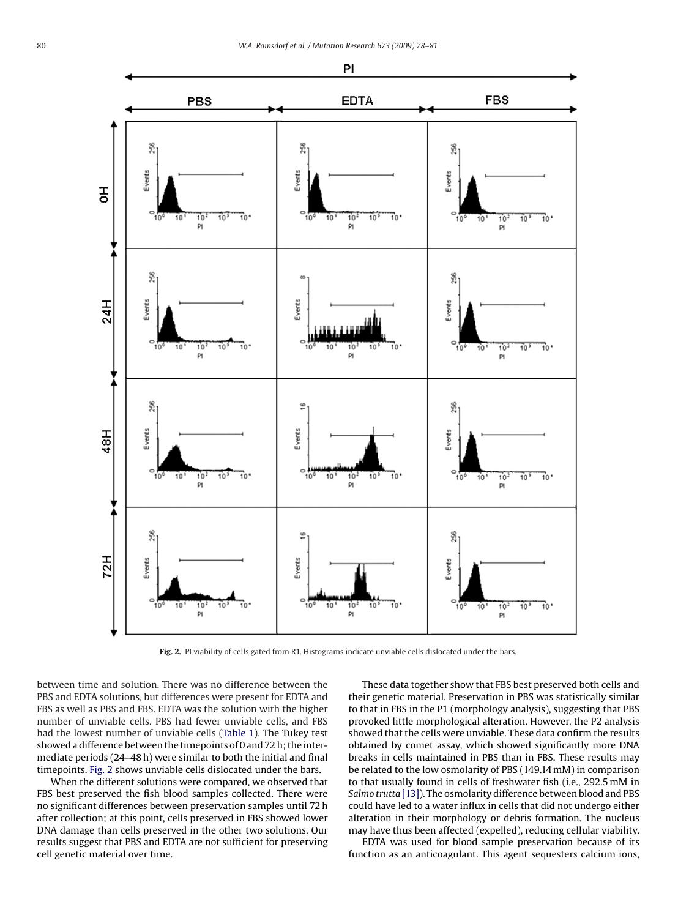

Fig. 2. PI viability of cells gated from R1. Histograms indicate unviable cells dislocated under the bars.

between time and solution. There was no difference between the PBS and EDTA solutions, but differences were present for EDTA and FBS as well as PBS and FBS. EDTA was the solution with the higher number of unviable cells. PBS had fewer unviable cells, and FBS had the lowest number of unviable cells [\(Table 1\).](#page-1-0) The Tukey test showed a difference between the timepoints of 0 and 72 h; the intermediate periods (24–48 h) were similar to both the initial and final timepoints. Fig. 2 shows unviable cells dislocated under the bars.

When the different solutions were compared, we observed that FBS best preserved the fish blood samples collected. There were no significant differences between preservation samples until 72 h after collection; at this point, cells preserved in FBS showed lower DNA damage than cells preserved in the other two solutions. Our results suggest that PBS and EDTA are not sufficient for preserving cell genetic material over time.

These data together show that FBS best preserved both cells and their genetic material. Preservation in PBS was statistically similar to that in FBS in the P1 (morphology analysis), suggesting that PBS provoked little morphological alteration. However, the P2 analysis showed that the cells were unviable. These data confirm the results obtained by comet assay, which showed significantly more DNA breaks in cells maintained in PBS than in FBS. These results may be related to the low osmolarity of PBS (149.14 mM) in comparison to that usually found in cells of freshwater fish (i.e., 292.5 mM in *Salmo trutta* [\[13\]\).](#page-3-0) The osmolarity difference between blood and PBS could have led to a water influx in cells that did not undergo either alteration in their morphology or debris formation. The nucleus may have thus been affected (expelled), reducing cellular viability.

EDTA was used for blood sample preservation because of its function as an anticoagulant. This agent sequesters calcium ions,